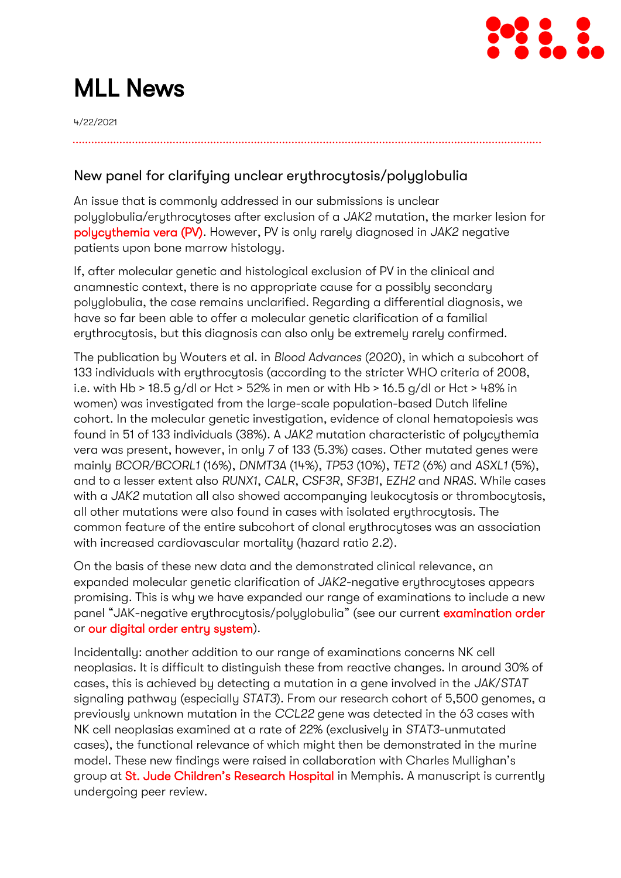

# MLL News

4/22/2021

## New panel for clarifying unclear erythrocytosis/polyglobulia

An issue that is commonly addressed in our submissions is unclear polyglobulia/erythrocytoses after exclusion of a *JAK2* mutation, the marker lesion for [polycythemia vera \(PV\).](https://www.mll.com/erkrankungendiagnostik/myelodysplastisches-syndrom-mds/myeloproliferative-neoplasien-mpn/polycythaemia-vera-pv.html) However, PV is only rarely diagnosed in *JAK2* negative patients upon bone marrow histology.

If, after molecular genetic and histological exclusion of PV in the clinical and anamnestic context, there is no appropriate cause for a possibly secondary polyglobulia, the case remains unclarified. Regarding a differential diagnosis, we have so far been able to offer a molecular genetic clarification of a familial erythrocytosis, but this diagnosis can also only be extremely rarely confirmed.

The publication by Wouters et al. in *Blood Advances* (2020), in which a subcohort of 133 individuals with erythrocytosis (according to the stricter WHO criteria of 2008, i.e. with Hb > 18.5 g/dl or Hct > 52% in men or with Hb > 16.5 g/dl or Hct > 48% in women) was investigated from the large-scale population-based Dutch lifeline cohort. In the molecular genetic investigation, evidence of clonal hematopoiesis was found in 51 of 133 individuals (38%). A *JAK2* mutation characteristic of polycythemia vera was present, however, in only 7 of 133 (5.3%) cases. Other mutated genes were mainly *BCOR/BCORL1* (16%), *DNMT3A* (14%), *TP53* (10%), *TET2* (6%) and *ASXL1* (5%), and to a lesser extent also *RUNX1*, *CALR*, *CSF3R*, *SF3B1*, *EZH2* and *NRAS*. While cases with a *JAK2* mutation all also showed accompanying leukocytosis or thrombocytosis, all other mutations were also found in cases with isolated erythrocytosis. The common feature of the entire subcohort of clonal erythrocytoses was an association with increased cardiovascular mortality (hazard ratio 2.2).

On the basis of these new data and the demonstrated clinical relevance, an expanded molecular genetic clarification of *JAK2-*negative erythrocytoses appears promising. This is why we have expanded our range of examinations to include a new panel "JAK-negative erythrocytosis/polyglobulia" (see our current [examination order](https://www.mll.com/Downloads_MLL/Untersuchungsauftrag.pdf) or [our digital order entry system\)](https://www.mll.com/orderentry.html).

Incidentally: another addition to our range of examinations concerns NK cell neoplasias. It is difficult to distinguish these from reactive changes. In around 30% of cases, this is achieved by detecting a mutation in a gene involved in the *JAK*/*STAT* signaling pathway (especially *STAT3*). From our research cohort of 5,500 genomes, a previously unknown mutation in the *CCL22* gene was detected in the 63 cases with NK cell neoplasias examined at a rate of 22% (exclusively in *STAT3*-unmutated cases), the functional relevance of which might then be demonstrated in the murine model. These new findings were raised in collaboration with Charles Mullighan's group at [St. Jude Children's Research Hospital](https://www.stjude.org/) in Memphis. A manuscript is currently undergoing peer review.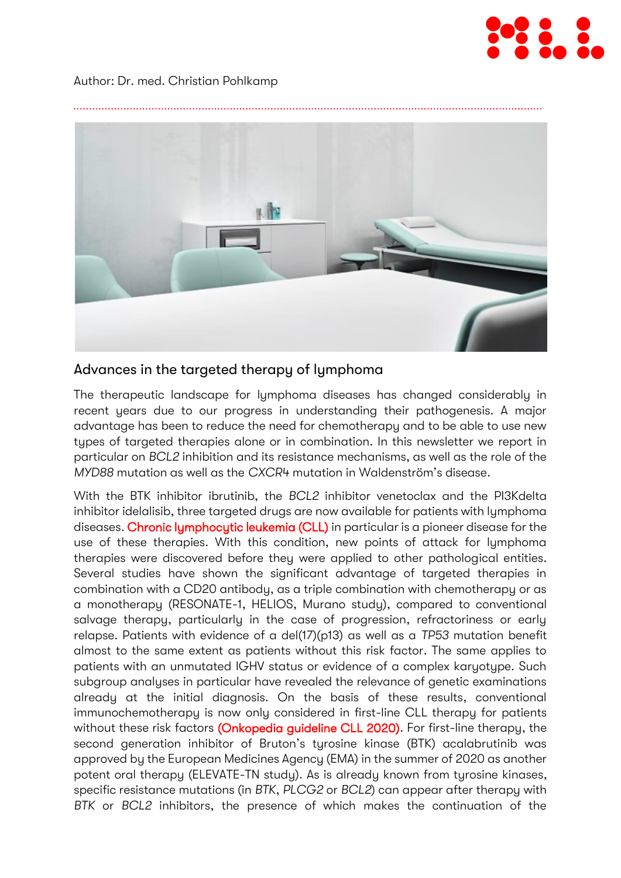

#### Author: Dr. med. Christian Pohlkamp



### Advances in the targeted therapy of lymphoma

The therapeutic landscape for lymphoma diseases has changed considerably in recent years due to our progress in understanding their pathogenesis. A major advantage has been to reduce the need for chemotherapy and to be able to use new types of targeted therapies alone or in combination. In this newsletter we report in particular on *BCL2* inhibition and its resistance mechanisms, as well as the role of the *MYD88* mutation as well as the *CXCR4* mutation in Waldenström's disease.

With the BTK inhibitor ibrutinib, the *BCL2* inhibitor venetoclax and the PI3Kdelta inhibitor idelalisib, three targeted drugs are now available for patients with lymphoma diseases. [Chronic lymphocytic leukemia \(CLL\)](https://www.mll.com/erkrankungendiagnostik/chronische-lymphatische-leukaemie-cll/chronische-lymphatische-leukaemie-cll.html) in particular is a pioneer disease for the use of these therapies. With this condition, new points of attack for lymphoma therapies were discovered before they were applied to other pathological entities. Several studies have shown the significant advantage of targeted therapies in combination with a CD20 antibody, as a triple combination with chemotherapy or as a monotherapy (RESONATE-1, HELIOS, Murano study), compared to conventional salvage therapy, particularly in the case of progression, refractoriness or early relapse. Patients with evidence of a del(17)(p13) as well as a *TP53* mutation benefit almost to the same extent as patients without this risk factor. The same applies to patients with an unmutated IGHV status or evidence of a complex karyotype. Such subgroup analyses in particular have revealed the relevance of genetic examinations already at the initial diagnosis. On the basis of these results, conventional immunochemotherapy is now only considered in first-line CLL therapy for patients without these risk factors [\(Onkopedia guideline CLL 2020\).](https://www.onkopedia.com/de/onkopedia/guidelines/chronische-lymphatische-leukaemie-cll/@@guideline/html/index.html) For first-line therapy, the second generation inhibitor of Bruton's tyrosine kinase (BTK) acalabrutinib was approved by the European Medicines Agency (EMA) in the summer of 2020 as another potent oral therapy (ELEVATE-TN study). As is already known from tyrosine kinases, specific resistance mutations (in *BTK*, *PLCG2* or *BCL2*) can appear after therapy with *BTK* or *BCL2* inhibitors, the presence of which makes the continuation of the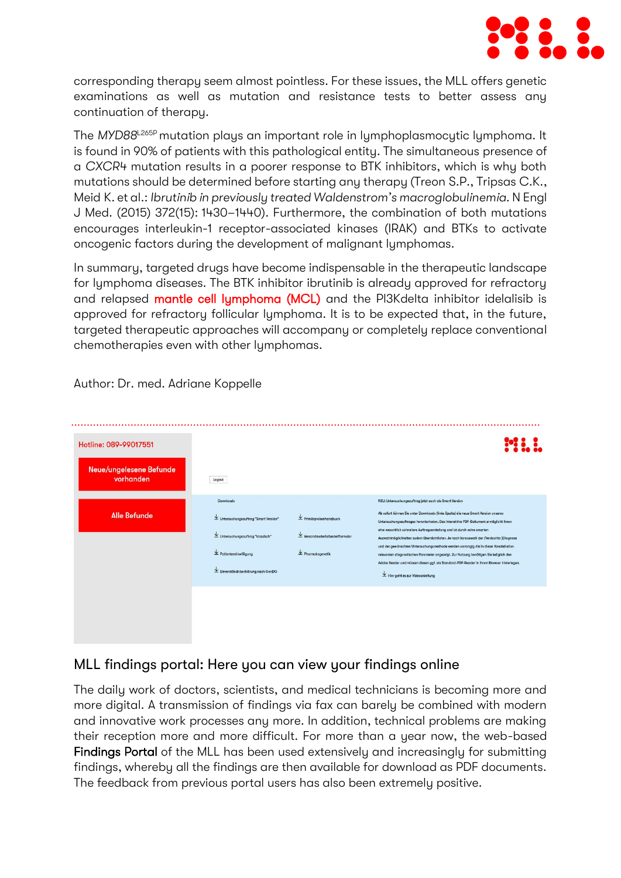

corresponding therapy seem almost pointless. For these issues, the MLL offers genetic examinations as well as mutation and resistance tests to better assess any continuation of therapy.

The *MYD88*L265P mutation plays an important role in lymphoplasmocytic lymphoma. It is found in 90% of patients with this pathological entity. The simultaneous presence of a *CXCR4* mutation results in a poorer response to BTK inhibitors, which is why both mutations should be determined before starting any therapy (Treon S.P., Tripsas C.K., Meid K. et al.: *Ibrutinib in previously treated Waldenstrom's macroglobulinemia*. N Engl J Med. (2015) 372(15): 1430–1440). Furthermore, the combination of both mutations encourages interleukin-1 receptor-associated kinases (IRAK) and BTKs to activate oncogenic factors during the development of malignant lymphomas.

In summary, targeted drugs have become indispensable in the therapeutic landscape for lymphoma diseases. The BTK inhibitor ibrutinib is already approved for refractory and relapsed [mantle cell lymphoma \(MCL\)](https://www.mll.com/erkrankungendiagnostik/reife-b-zellneoplasien/mantelzell-lymphom-mcl.html) and the PI3Kdelta inhibitor idelalisib is approved for refractory follicular lymphoma. It is to be expected that, in the future, targeted therapeutic approaches will accompany or completely replace conventional chemotherapies even with other lymphomas.

| Hotline: 089-99017551                |                                                                                                                                                                                                                                                            |                                                                                                                                  |                                                                                                                                                                                                                                                                                                                                                                                                                                                                                                                                                                                                                                                                                                                                                        |
|--------------------------------------|------------------------------------------------------------------------------------------------------------------------------------------------------------------------------------------------------------------------------------------------------------|----------------------------------------------------------------------------------------------------------------------------------|--------------------------------------------------------------------------------------------------------------------------------------------------------------------------------------------------------------------------------------------------------------------------------------------------------------------------------------------------------------------------------------------------------------------------------------------------------------------------------------------------------------------------------------------------------------------------------------------------------------------------------------------------------------------------------------------------------------------------------------------------------|
| Neue/ungelesene Befunde<br>vorhanden | Logout                                                                                                                                                                                                                                                     |                                                                                                                                  |                                                                                                                                                                                                                                                                                                                                                                                                                                                                                                                                                                                                                                                                                                                                                        |
| <b>Alle Befunde</b>                  | Downloads<br>$\overline{\mathbf{\Psi}}$ Untersuchungsauftrag "Smart Version"<br>$\overline{\mathbf{\Psi}}$ Untersuchungsauftrag "klassisch"<br>$\overline{\mathbf{v}}$ Patienteneinwilligung<br>$\overline{\mathbf{v}}$ Einverständniserklärung nach GenDG | $\overline{\mathbf{v}}$ Primärprobenhandbuch<br>$\Psi$ Versandmaterialbestellformular<br>$\overline{\mathbf{v}}$ Pharmakogenetik | NEU: Untersuchungsauftrag jetzt auch als Smart Version<br>Ab sofort können Sie unter Downloads (linke Spalte) die neue Smart Version unseres<br>Untersuchungsauftrages herunterladen. Das interaktive PDF-Dokument ermöglicht Ihnen<br>eine wesentlich schnellere Auftragserstellung und ist durch seine smarten<br>Auswahlmöglichkeiten zudem übersichtlicher. Je nach Vorauswahl der (Verdachts-)Diagnose<br>und der gewünschten Untersuchungsmethode werden vorrangig die in dieser Konstellation<br>relevanten diagnostischen Parameter angezeigt. Zur Nutzung benätigen Sie lediglich den<br>Adobe Reader und müssen diesen ggf. als Standard-PDF-Reader in Ihrem Browser hinterlegen.<br>$\overline{\mathbf{v}}$ Hier geht es zur Videoanleitung |
|                                      |                                                                                                                                                                                                                                                            |                                                                                                                                  |                                                                                                                                                                                                                                                                                                                                                                                                                                                                                                                                                                                                                                                                                                                                                        |

Author: Dr. med. Adriane Koppelle

## MLL findings portal: Here you can view your findings online

The daily work of doctors, scientists, and medical technicians is becoming more and more digital. A transmission of findings via fax can barely be combined with modern and innovative work processes any more. In addition, technical problems are making their reception more and more difficult. For more than a year now, the web-based Findings Portal of the MLL has been used extensively and increasingly for submitting findings, whereby all the findings are then available for download as PDF documents. The feedback from previous portal users has also been extremely positive.